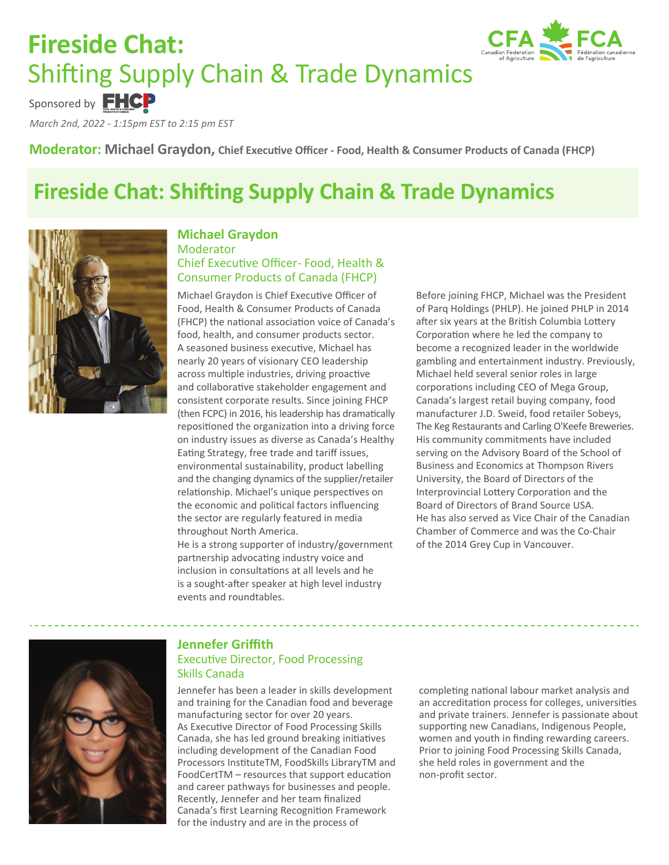# **Fireside Chat:**  Shifting Supply Chain & Trade Dynamics



*March 2nd, 2022 - 1:15pm EST to 2:15 pm EST* Sponsored by **FHCP** 

**Moderator: Michael Graydon, Chief Executive Officer - Food, Health & Consumer Products of Canada (FHCP)**

# **Fireside Chat: Shifting Supply Chain & Trade Dynamics**



### **Michael Graydon**  Moderator Chief Executive Officer- Food, Health & Consumer Products of Canada (FHCP)

Michael Graydon is Chief Executive Officer of Food, Health & Consumer Products of Canada (FHCP) the national association voice of Canada's food, health, and consumer products sector. A seasoned business executive, Michael has nearly 20 years of visionary CEO leadership across multiple industries, driving proactive and collaborative stakeholder engagement and consistent corporate results. Since joining FHCP (then FCPC) in 2016, his leadership has dramatically repositioned the organization into a driving force on industry issues as diverse as Canada's Healthy Eating Strategy, free trade and tariff issues, environmental sustainability, product labelling and the changing dynamics of the supplier/retailer relationship. Michael's unique perspectives on the economic and political factors influencing the sector are regularly featured in media throughout North America.

He is a strong supporter of industry/government partnership advocating industry voice and inclusion in consultations at all levels and he is a sought-after speaker at high level industry events and roundtables.

Before joining FHCP, Michael was the President of Parq Holdings (PHLP). He joined PHLP in 2014 after six years at the British Columbia Lottery Corporation where he led the company to become a recognized leader in the worldwide gambling and entertainment industry. Previously, Michael held several senior roles in large corporations including CEO of Mega Group, Canada's largest retail buying company, food manufacturer J.D. Sweid, food retailer Sobeys, The Keg Restaurants and Carling O'Keefe Breweries. His community commitments have included serving on the Advisory Board of the School of Business and Economics at Thompson Rivers University, the Board of Directors of the Interprovincial Lottery Corporation and the Board of Directors of Brand Source USA. He has also served as Vice Chair of the Canadian Chamber of Commerce and was the Co-Chair of the 2014 Grey Cup in Vancouver.



### **Jennefer Griffith** Executive Director, Food Processing Skills Canada

Jennefer has been a leader in skills development and training for the Canadian food and beverage manufacturing sector for over 20 years. As Executive Director of Food Processing Skills Canada, she has led ground breaking initiatives including development of the Canadian Food Processors InstituteTM, FoodSkills LibraryTM and FoodCertTM – resources that support education and career pathways for businesses and people. Recently, Jennefer and her team finalized Canada's first Learning Recognition Framework for the industry and are in the process of

completing national labour market analysis and an accreditation process for colleges, universities and private trainers. Jennefer is passionate about supporting new Canadians, Indigenous People, women and youth in finding rewarding careers. Prior to joining Food Processing Skills Canada, she held roles in government and the non-profit sector.